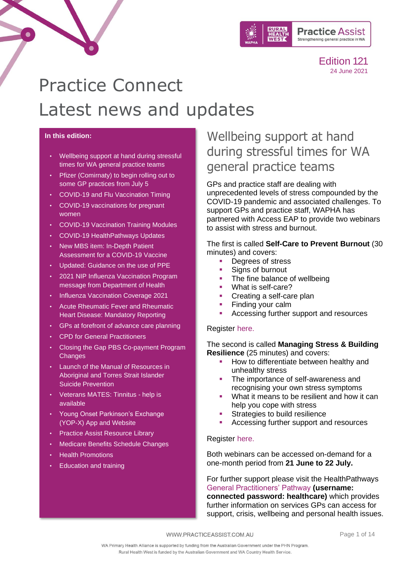

# Practice Connect Latest news and updates

#### **In this edition:**

- [Wellbeing support at hand during stressful](#page-0-0)  [times for WA general practice teams](#page-0-0)
- [Pfizer \(Comirnaty\) to begin rolling out to](#page-1-0)  [some GP practices from July 5](#page-1-0)
- [COVID-19 and Flu Vaccination Timing](#page-1-1)
- [COVID-19 vaccinations for pregnant](#page-1-2)  [women](#page-1-2)
- [COVID-19 Vaccination Training Modules](#page-2-0)
- [COVID-19 HealthPathways Updates](#page-2-1)
- New MBS item: In-Depth Patient [Assessment for a COVID-19 Vaccine](#page-3-0)
- [Updated: Guidance on the use of PPE](#page-3-1)
- [2021 NIP Influenza Vaccination Program](#page-3-2)  [message from Department of Health](#page-3-2)
- [Influenza Vaccination Coverage 2021](#page-4-0)
- [Acute Rheumatic Fever and Rheumatic](#page-4-1)  [Heart Disease: Mandatory Reporting](#page-4-1)
- [GPs at forefront of advance care planning](#page-6-0)
- [CPD for General Practitioners](#page-6-0)
- [Closing the Gap PBS Co-payment Program](#page-7-0)  **[Changes](#page-7-0)**
- [Launch of the Manual of Resources in](#page-7-1)  [Aboriginal and Torres Strait Islander](#page-7-1)  [Suicide Prevention](#page-7-1)
- [Veterans MATES: Tinnitus -](#page-8-0) help is [available](#page-8-0)
- [Young Onset Parkinson's Exchange](#page-8-1)  [\(YOP-X\) App and Website](#page-8-1)
- [Practice Assist Resource Library](#page-9-0)
- [Medicare Benefits Schedule Changes](#page-9-1)
- [Health Promotions](#page-10-0)
- [Education and training](#page-12-0)

### <span id="page-0-0"></span>Wellbeing support at hand during stressful times for WA general practice teams

GPs and practice staff are dealing with unprecedented levels of stress compounded by the COVID-19 pandemic and associated challenges. To support GPs and practice staff, WAPHA has partnered with Access EAP to provide two webinars to assist with stress and burnout.

The first is called **Self-Care to Prevent Burnout** (30 minutes) and covers:

- Degrees of stress
- **EXECUTE:** Signs of burnout
- The fine balance of wellbeing
- What is self-care?
- Creating a self-care plan
- Finding your calm
- Accessing further support and resources

#### Register [here.](https://register.gotowebinar.com/recording/1466199167464483841)

The second is called **Managing Stress & Building Resilience** (25 minutes) and covers:

- How to differentiate between healthy and unhealthy stress
- The importance of self-awareness and recognising your own stress symptoms
- What it means to be resilient and how it can help you cope with stress
- Strategies to build resilience
- Accessing further support and resources

#### Register [here.](https://register.gotowebinar.com/recording/587302348645387522)

Both webinars can be accessed on-demand for a one-month period from **21 June to 22 July.**

For further support please visit the HealthPathways [General Practitioners' Pathway](https://wa.communityhealthpathways.org/130566.htm) **(username: connected password: healthcare)** which provides further information on services GPs can access for support, crisis, wellbeing and personal health issues.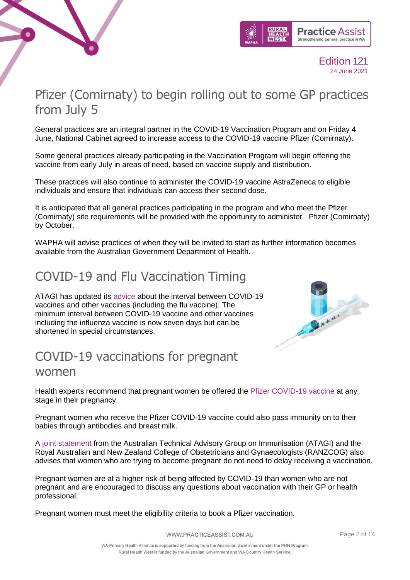



### <span id="page-1-0"></span>Pfizer (Comirnaty) to begin rolling out to some GP practices from July 5

General practices are an integral partner in the COVID-19 Vaccination Program and on Friday 4 June, National Cabinet agreed to increase access to the COVID-19 vaccine Pfizer (Comirnaty).

Some general practices already participating in the Vaccination Program will begin offering the vaccine from early July in areas of need, based on vaccine supply and distribution.

These practices will also continue to administer the COVID-19 vaccine AstraZeneca to eligible individuals and ensure that individuals can access their second dose.

It is anticipated that all general practices participating in the program and who meet the Pfizer (Comirnaty) site requirements will be provided with the opportunity to administer Pfizer (Comirnaty) by October.

WAPHA will advise practices of when they will be invited to start as further information becomes available from the Australian Government Department of Health.

### <span id="page-1-1"></span>COVID-19 and Flu Vaccination Timing

ATAGI has updated its [advice](https://linkprotect.cudasvc.com/url?a=https%3a%2f%2fwapha.us11.list-manage.com%2ftrack%2fclick%3fu%3dc973db7b85e56f4c3d0eaacee%26id%3d33196df78c%26e%3df34f3bfedc&c=E,1,QHBZyyKKkhPlCtMP5IOSWPI8008NSdFYYeNeIo831QKeC_pow4CEC-h8s-8_bHYVWNz9wkX9y5cJUhojduskNuSXQ_yvAoIlX_h3afb0S7r7-e9j_x4daP01&typo=1) about the interval between COVID-19 vaccines and other vaccines (including the flu vaccine). The minimum interval between COVID-19 vaccine and other vaccines including the influenza vaccine is now seven days but can be shortened in special circumstances.



### <span id="page-1-2"></span>COVID-19 vaccinations for pregnant women

Health experts recommend that pregnant women be offered the [Pfizer COVID-19 vaccine](https://linkprotect.cudasvc.com/url?a=https%3a%2f%2fwapha.us11.list-manage.com%2ftrack%2fclick%3fu%3dc973db7b85e56f4c3d0eaacee%26id%3d0dff41a10b%26e%3df34f3bfedc&c=E,1,5qdNRMQAOVJV1YM2QxwPZIRzyhE5MXWxAdz2j9uARXuaFAKp_r1D4GWBGPsiI5bNgJ0cIjvIVh5pONT_8SBQ15bxIEn5levzCrr3f9U-UHFylFLzyK-ESPmxC_oa&typo=1) at any stage in their pregnancy.

Pregnant women who receive the Pfizer COVID-19 vaccine could also pass immunity on to their babies through antibodies and breast milk.

A [joint statement](https://linkprotect.cudasvc.com/url?a=https%3a%2f%2fwapha.us11.list-manage.com%2ftrack%2fclick%3fu%3dc973db7b85e56f4c3d0eaacee%26id%3d952c8f6f5c%26e%3df34f3bfedc&c=E,1,yizehEjq554ukdroC_ljhcB5teB6Y4dWGBH69q-zjBhtFff8h-yMDgBYM9Zbp60n1ynwHg0VwQkBWaQQugc1Inq2ZD-GHNS1-MJcatTo&typo=1) from the Australian Technical Advisory Group on Immunisation (ATAGI) and the Royal Australian and New Zealand College of Obstetricians and Gynaecologists (RANZCOG) also advises that women who are trying to become pregnant do not need to delay receiving a vaccination.

Pregnant women are at a higher risk of being affected by COVID-19 than women who are not pregnant and are encouraged to discuss any questions about vaccination with their GP or health professional.

Pregnant women must meet the eligibility criteria to book a Pfizer vaccination.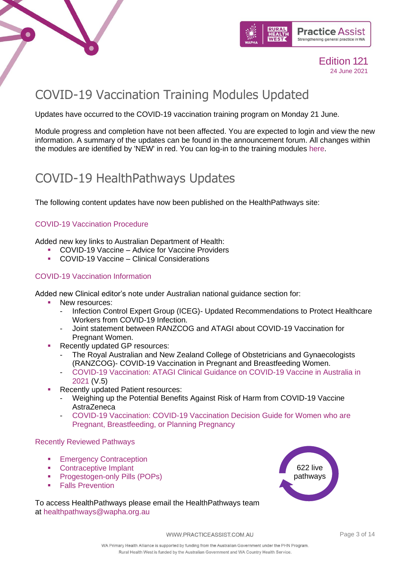



# <span id="page-2-0"></span>COVID-19 Vaccination Training Modules Updated

Updates have occurred to the COVID-19 vaccination training program on Monday 21 June.

Module progress and completion have not been affected. You are expected to login and view the new information. A summary of the updates can be found in the announcement forum. All changes within the modules are identified by 'NEW' in red. You can log-in to the training modules [here.](https://covid19vaccinationtraining.org.au/login/index.php)

### <span id="page-2-1"></span>COVID-19 HealthPathways Updates

The following content updates have now been published on the HealthPathways site:

### [COVID-19 Vaccination Procedure](https://linkprotect.cudasvc.com/url?a=https%3a%2f%2fwapha.us11.list-manage.com%2ftrack%2fclick%3fu%3dc973db7b85e56f4c3d0eaacee%26id%3d0543c38611%26e%3d02c79a9d9f&c=E,1,B69GOm1tEn9nZtcTYCCRwwelckGUNqJ53u9NU3DV2ul3ZIWpehmy1dunKQkQM9WsTZZRQmQeLUi4E04bTDSfF6tazk7T8UJoiBffRZJDEvOraNMziA,,&typo=1)

Added new key links to Australian Department of Health:

- COVID-19 Vaccine Advice for Vaccine Providers
	- COVID-19 Vaccine Clinical Considerations

#### [COVID-19 Vaccination Information](https://linkprotect.cudasvc.com/url?a=https%3a%2f%2fwapha.us11.list-manage.com%2ftrack%2fclick%3fu%3dc973db7b85e56f4c3d0eaacee%26id%3dae3f8f8d12%26e%3d02c79a9d9f&c=E,1,wCXylyPANBV45JoUNyXC_hES3kcQZHY2oiPyAL67nV7PF-jK2IpfT9SDz5nBziVhmLBJEIM75_DeV2xT2RxYZCa-LH2TqPJc_rmi9K1s1s4uKg,,&typo=1)

Added new Clinical editor's note under Australian national guidance section for:

- New resources:
	- Infection Control Expert Group (ICEG)- Updated Recommendations to Protect Healthcare Workers from COVID-19 Infection.
	- Joint statement between RANZCOG and ATAGI about COVID-19 Vaccination for Pregnant Women.
- Recently updated GP resources:
	- The Royal Australian and New Zealand College of Obstetricians and Gynaecologists (RANZCOG)- COVID-19 Vaccination in Pregnant and Breastfeeding Women.
	- [COVID-19 Vaccination: ATAGI Clinical Guidance on COVID-19 Vaccine in Australia in](https://linkprotect.cudasvc.com/url?a=https%3a%2f%2fwapha.us11.list-manage.com%2ftrack%2fclick%3fu%3dc973db7b85e56f4c3d0eaacee%26id%3dccf6d39b76%26e%3d02c79a9d9f&c=E,1,oqmFBZqtdn3LTQGCzxLpdWjioTpjbydWTvZcUuxroKP5n6hxMiaKryvJT1CVs6YHJbORRLsmGDiBYMu7C-9ZWXsIis75pAPKjsvTAcMxHvpb6jR-QT8t6BZQ8qg,&typo=1)  [2021](https://linkprotect.cudasvc.com/url?a=https%3a%2f%2fwapha.us11.list-manage.com%2ftrack%2fclick%3fu%3dc973db7b85e56f4c3d0eaacee%26id%3dccf6d39b76%26e%3d02c79a9d9f&c=E,1,oqmFBZqtdn3LTQGCzxLpdWjioTpjbydWTvZcUuxroKP5n6hxMiaKryvJT1CVs6YHJbORRLsmGDiBYMu7C-9ZWXsIis75pAPKjsvTAcMxHvpb6jR-QT8t6BZQ8qg,&typo=1) (V.5)
- **Recently updated Patient resources:** 
	- Weighing up the Potential Benefits Against Risk of Harm from COVID-19 Vaccine AstraZeneca
	- [COVID-19 Vaccination: COVID-19 Vaccination Decision Guide for Women who are](https://linkprotect.cudasvc.com/url?a=https%3a%2f%2fwapha.us11.list-manage.com%2ftrack%2fclick%3fu%3dc973db7b85e56f4c3d0eaacee%26id%3daee10ef815%26e%3d02c79a9d9f&c=E,1,U-57diuxWLil-vC6CvI_q-_Mfcz_LORkK8PHng-OCGiYNVO_glqLczWwZkFCCkzJsq_o54h1MGZth9OczkvRcLcwWvcJx2sv9dMx8FisKbLQDQ,,&typo=1)  [Pregnant, Breastfeeding, or Planning Pregnancy](https://linkprotect.cudasvc.com/url?a=https%3a%2f%2fwapha.us11.list-manage.com%2ftrack%2fclick%3fu%3dc973db7b85e56f4c3d0eaacee%26id%3daee10ef815%26e%3d02c79a9d9f&c=E,1,U-57diuxWLil-vC6CvI_q-_Mfcz_LORkK8PHng-OCGiYNVO_glqLczWwZkFCCkzJsq_o54h1MGZth9OczkvRcLcwWvcJx2sv9dMx8FisKbLQDQ,,&typo=1)

#### Recently Reviewed Pathways

- **[Emergency Contraception](https://wa.communityhealthpathways.org/55831.htm)**
- [Contraceptive Implant](https://wa.communityhealthpathways.org/61811.htm)
- **[Progestogen-only Pills \(POPs\)](https://wa.communityhealthpathways.org/61776.htm)**
- **[Falls Prevention](https://wa.communityhealthpathways.org/31775.htm)**

To access HealthPathways please email the HealthPathways team at [healthpathways@wapha.org.au](mailto:healthpathways@wapha.org.au)

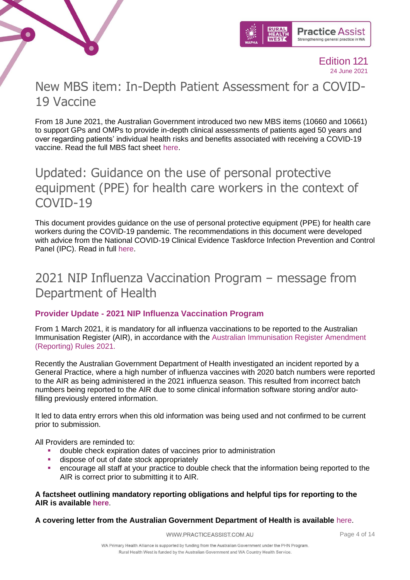



### <span id="page-3-0"></span>New MBS item: In-Depth Patient Assessment for a COVID-19 Vaccine

From 18 June 2021, the Australian Government introduced two new MBS items (10660 and 10661) to support GPs and OMPs to provide in-depth clinical assessments of patients aged 50 years and over regarding patients' individual health risks and benefits associated with receiving a COVID-19 vaccine. Read the full MBS fact sheet [here.](https://linkprotect.cudasvc.com/url?a=https%3a%2f%2fwapha.us11.list-manage.com%2ftrack%2fclick%3fu%3dc973db7b85e56f4c3d0eaacee%26id%3d7ee6b78961%26e%3df34f3bfedc&c=E,1,vwTEskyjZbyGsrVuKkwyrTGyi4h3Lv06qPdKdVJ-DB8w0fuyqPEQglzXThLx72aTXFVA5qG6pnL522A8YmPmc-9wtVN8J_n9zxLsQW9SygvV8Wbtow,,&typo=1)

### <span id="page-3-1"></span>Updated: Guidance on the use of personal protective equipment (PPE) for health care workers in the context of COVID-19

This document provides guidance on the use of personal protective equipment (PPE) for health care workers during the COVID-19 pandemic. The recommendations in this document were developed with advice from the National COVID-19 Clinical Evidence Taskforce Infection Prevention and Control Panel (IPC). Read in full [here.](https://www.health.gov.au/sites/default/files/documents/2021/06/guidance-on-the-use-of-personal-protective-equipment-ppe-for-health-care-workers-in-the-context-of-covid-19.pdf)

### <span id="page-3-2"></span>2021 NIP Influenza Vaccination Program – message from Department of Health

### **Provider Update - 2021 NIP Influenza Vaccination Program**

From 1 March 2021, it is mandatory for all influenza vaccinations to be reported to the Australian Immunisation Register (AIR), in accordance with the [Australian Immunisation Register Amendment](https://linkprotect.cudasvc.com/url?a=https%3a%2f%2fhealth.us20.list-manage.com%2ftrack%2fclick%3fu%3d32cc4a56e0e39b38a4d4cf223%26id%3d7d0611f806%26e%3d0f37de1568&c=E,1,VWuqeZQ7fKjRlhKXvX9vhwtPuVe0HQYVZomHjGa-0OzMqDvVWgLy2q7KNjtAzbtVJwWfE4DzU3Hm3TBKZwUXk-ASBhDKrXv0NyKr1ZMY_UI,&typo=1)  [\(Reporting\) Rules 2021.](https://linkprotect.cudasvc.com/url?a=https%3a%2f%2fhealth.us20.list-manage.com%2ftrack%2fclick%3fu%3d32cc4a56e0e39b38a4d4cf223%26id%3d7d0611f806%26e%3d0f37de1568&c=E,1,VWuqeZQ7fKjRlhKXvX9vhwtPuVe0HQYVZomHjGa-0OzMqDvVWgLy2q7KNjtAzbtVJwWfE4DzU3Hm3TBKZwUXk-ASBhDKrXv0NyKr1ZMY_UI,&typo=1)

Recently the Australian Government Department of Health investigated an incident reported by a General Practice, where a high number of influenza vaccines with 2020 batch numbers were reported to the AIR as being administered in the 2021 influenza season. This resulted from incorrect batch numbers being reported to the AIR due to some clinical information software storing and/or autofilling previously entered information.

It led to data entry errors when this old information was being used and not confirmed to be current prior to submission.

All Providers are reminded to:

- double check expiration dates of vaccines prior to administration
- dispose of out of date stock appropriately
- encourage all staff at your practice to double check that the information being reported to the AIR is correct prior to submitting it to AIR.

#### **A factsheet outlining mandatory reporting obligations and helpful tips for reporting to the AIR is available [here](https://linkprotect.cudasvc.com/url?a=https%3a%2f%2fhealth.us20.list-manage.com%2ftrack%2fclick%3fu%3d32cc4a56e0e39b38a4d4cf223%26id%3dcfccdeeeac%26e%3d0f37de1568&c=E,1,qeJSebfGUnOnf9IbMyCDVFwTVU3QTistwtgwuEvX4v_XMdo1odbjZxxojPb2P5M5gOd1WAmBz7EJiwVurxDTbeoq9EVK3LljPp089-Yx9DZcvg,,&typo=1)**.

#### **A covering letter from the Australian Government Department of Health is available** [here.](https://linkprotect.cudasvc.com/url?a=https%3a%2f%2fhealth.us20.list-manage.com%2ftrack%2fclick%3fu%3d32cc4a56e0e39b38a4d4cf223%26id%3d542f428955%26e%3d0f37de1568&c=E,1,C0MZb25BXYqCbgfMKSr6vabA-RHEVL5jZ1-CUNM-0oxz5t18J88g_yUsaEhCt7vo6BmyG_XPehor4607XyQESIukN4scmaSZEjFVAaQ2l-p6S0WmbFeYoYe3&typo=1)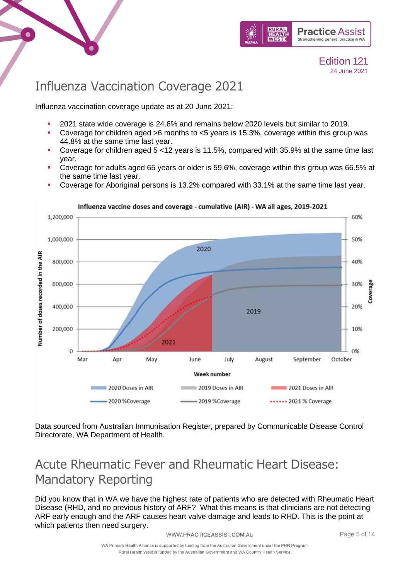



### <span id="page-4-0"></span>Influenza Vaccination Coverage 2021

Influenza vaccination coverage update as at 20 June 2021:

- 2021 state wide coverage is 24.6% and remains below 2020 levels but similar to 2019.
- **Coverage for children aged >6 months to <5 years is 15.3%, coverage within this group was** 44.8% at the same time last year.
- **Coverage for children aged**  $5 < 12$  **years is 11.5%, compared with 35.9% at the same time last** year.
- Coverage for adults aged 65 years or older is 59.6%, coverage within this group was 66.5% at the same time last year.
- Coverage for Aboriginal persons is 13.2% compared with 33.1% at the same time last year.



Influenza vaccine doses and coverage - cumulative (AIR) - WA all ages, 2019-2021

Data sourced from Australian Immunisation Register, prepared by Communicable Disease Control Directorate, WA Department of Health.

# <span id="page-4-1"></span>Acute Rheumatic Fever and Rheumatic Heart Disease: Mandatory Reporting

Did you know that in WA we have the highest rate of patients who are detected with Rheumatic Heart Disease (RHD, and no previous history of ARF? What this means is that clinicians are not detecting ARF early enough and the ARF causes heart valve damage and leads to RHD. This is the point at which patients then need surgery.

WWW.PRACTICEASSIST.COM.AU

Page 5 of 14

WA Primary Health Alliance is supported by funding from the Australian Government under the PHN Program. Rural Health West is funded by the Australian Government and WA Country Health Service.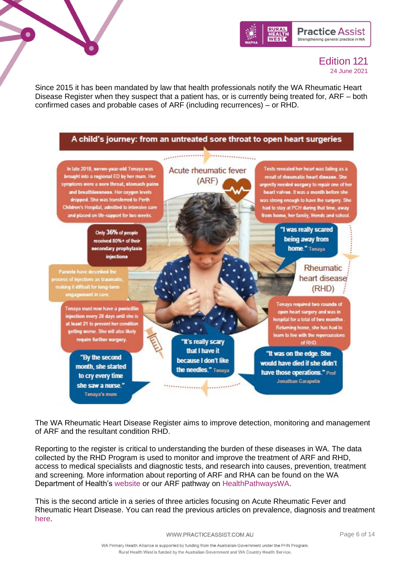



Since 2015 it has been mandated by law that health professionals notify the WA Rheumatic Heart Disease Register when they suspect that a patient has, or is currently being treated for, ARF – both confirmed cases and probable cases of ARF (including recurrences) – or RHD.



The WA Rheumatic Heart Disease Register aims to improve detection, monitoring and management of ARF and the resultant condition RHD.

Reporting to the register is critical to understanding the burden of these diseases in WA. The data collected by the RHD Program is used to monitor and improve the treatment of ARF and RHD, access to medical specialists and diagnostic tests, and research into causes, prevention, treatment and screening. More information about reporting of ARF and RHA can be found on the WA Department of Health's [website](https://ww2.health.wa.gov.au/Articles/U_Z/WA-rheumatic-heart-disease-register) or our ARF pathway on [HealthPathwaysWA.](https://wa.communityhealthpathways.org/)

This is the second article in a series of three articles focusing on Acute Rheumatic Fever and Rheumatic Heart Disease. You can read the previous articles on prevalence, diagnosis and treatment [here.](https://www.practiceassist.com.au/About-PracticeAssist/News-and-Updates/Practice-Connect-120#rheumatic)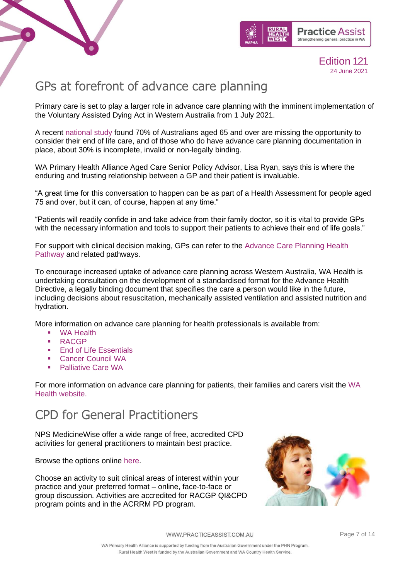



### <span id="page-6-0"></span>GPs at forefront of advance care planning

Primary care is set to play a larger role in advance care planning with the imminent implementation of the Voluntary Assisted Dying Act in Western Australia from 1 July 2021.

A recent [national study](https://onlinelibrary.wiley.com/doi/10.1111/hex.13264) found 70% of Australians aged 65 and over are missing the opportunity to consider their end of life care, and of those who do have advance care planning documentation in place, about 30% is incomplete, invalid or non-legally binding.

WA Primary Health Alliance Aged Care Senior Policy Advisor, Lisa Ryan, says this is where the enduring and trusting relationship between a GP and their patient is invaluable.

"A great time for this conversation to happen can be as part of a Health Assessment for people aged 75 and over, but it can, of course, happen at any time."

"Patients will readily confide in and take advice from their family doctor, so it is vital to provide GPs with the necessary information and tools to support their patients to achieve their end of life goals."

For support with clinical decision making, GPs can refer to the [Advance Care Planning Health](https://wa.communityhealthpathways.org/39484.htm)  [Pathway](https://wa.communityhealthpathways.org/39484.htm) and related pathways.

To encourage increased uptake of advance care planning across Western Australia, WA Health is undertaking consultation on the development of a standardised format for the Advance Health Directive, a legally binding document that specifies the care a person would like in the future, including decisions about resuscitation, mechanically assisted ventilation and assisted nutrition and hydration.

More information on advance care planning for health professionals is available from:

- **[WA Health](https://healthywa.wa.gov.au/Articles/A_E/Advance-care-planning)**
- [RACGP](https://www.racgp.org.au/running-a-practice/practice-resources/practice-tools/advance-care-planning)
- **[End of Life Essentials](https://www.endoflifeessentials.com.au/)**
- [Cancer Council WA](https://www.cancerwa.asn.au/professionals/pasce/)
- **Palliative Care WA**

For more information on advance care planning for patients, their families and carers visit the [WA](https://healthywa.wa.gov.au/Articles/A_E/Advance-care-planning)  [Health website.](https://healthywa.wa.gov.au/Articles/A_E/Advance-care-planning)

### CPD for General Practitioners

NPS MedicineWise offer a wide range of free, accredited CPD activities for general practitioners to maintain best practice.

Browse the options online [here.](https://www.nps.org.au/cpd/professions/general-practitioners)

Choose an activity to suit clinical areas of interest within your practice and your preferred format – online, face-to-face or group discussion. Activities are accredited for RACGP QI&CPD program points and in the ACRRM PD program.

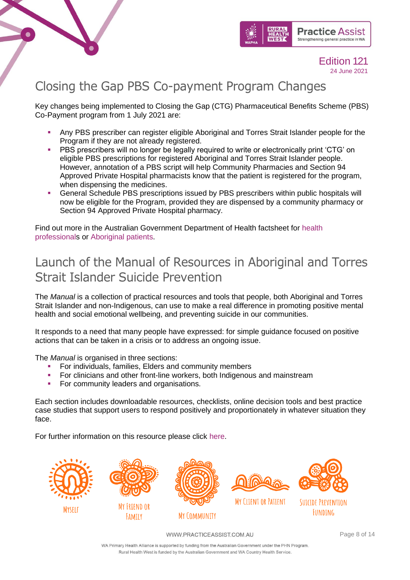



### <span id="page-7-0"></span>Closing the Gap PBS Co-payment Program Changes

Key changes being implemented to Closing the Gap (CTG) Pharmaceutical Benefits Scheme (PBS) Co-Payment program from 1 July 2021 are:

- Any PBS prescriber can register eligible Aboriginal and Torres Strait Islander people for the Program if they are not already registered.
- PBS prescribers will no longer be legally required to write or electronically print 'CTG' on eligible PBS prescriptions for registered Aboriginal and Torres Strait Islander people. However, annotation of a PBS script will help Community Pharmacies and Section 94 Approved Private Hospital pharmacists know that the patient is registered for the program, when dispensing the medicines.
- General Schedule PBS prescriptions issued by PBS prescribers within public hospitals will now be eligible for the Program, provided they are dispensed by a community pharmacy or Section 94 Approved Private Hospital pharmacy.

Find out more in the Australian Government Department of Health factsheet for [health](https://mcusercontent.com/c973db7b85e56f4c3d0eaacee/files/5aafa841-be11-c303-ebf4-cf80655bda38/HP.pdf)  [professionals](https://mcusercontent.com/c973db7b85e56f4c3d0eaacee/files/5aafa841-be11-c303-ebf4-cf80655bda38/HP.pdf) or [Aboriginal patients.](https://mcusercontent.com/c973db7b85e56f4c3d0eaacee/files/2e5fd374-89ea-495f-7f37-8aaf0bed492a/people.pdf)

### <span id="page-7-1"></span>Launch of the Manual of Resources in Aboriginal and Torres Strait Islander Suicide Prevention

The *Manual* is a collection of practical resources and tools that people, both Aboriginal and Torres Strait Islander and non-Indigenous, can use to make a real difference in promoting positive mental health and social emotional wellbeing, and preventing suicide in our communities.

It responds to a need that many people have expressed: for simple guidance focused on positive actions that can be taken in a crisis or to address an ongoing issue.

The *Manual* is organised in three sections:

- **•** For individuals, families, Elders and community members
- **•** For clinicians and other front-line workers, both Indigenous and mainstream
- **For community leaders and organisations.**

Each section includes downloadable resources, checklists, online decision tools and best practice case studies that support users to respond positively and proportionately in whatever situation they face.

For further information on this resource please click [here.](https://cbpatsisp.com.au/the-manual-of-resources/about-the-manual-of-resources/)



WWW.PRACTICEASSIST.COM.AU

Page 8 of 14

WA Primary Health Alliance is supported by funding from the Australian Government under the PHN Program. Rural Health West is funded by the Australian Government and WA Country Health Service.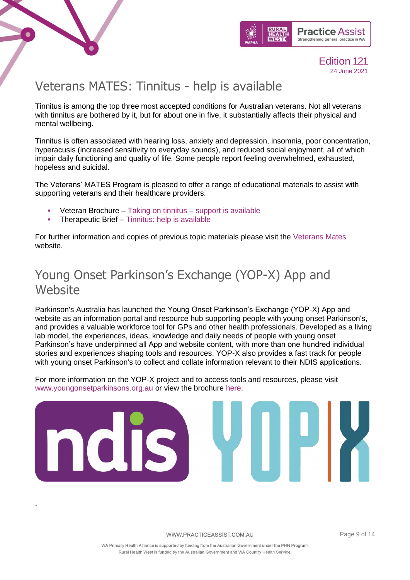

.



Edition 121 24 June 2021

### <span id="page-8-0"></span>Veterans MATES: Tinnitus - help is available

Tinnitus is among the top three most accepted conditions for Australian veterans. Not all veterans with tinnitus are bothered by it, but for about one in five, it substantially affects their physical and mental wellbeing.

Tinnitus is often associated with hearing loss, anxiety and depression, insomnia, poor concentration, hyperacusis (increased sensitivity to everyday sounds), and reduced social enjoyment, all of which impair daily functioning and quality of life. Some people report feeling overwhelmed, exhausted, hopeless and suicidal.

The Veterans' MATES Program is pleased to offer a range of educational materials to assist with supporting veterans and their healthcare providers.

- Veteran Brochure [Taking on tinnitus –](https://www.practiceassist.com.au/PracticeAssist/media/Practice-Connect/Tinnitus_VetBrochure_Jun2021.pdf) support is available
- **Therapeutic Brief [Tinnitus: help is available](https://www.practiceassist.com.au/PracticeAssist/media/Practice-Connect/Tinnitus_Therapeutic-Brief_Jun2021.pdf)**

For further information and copies of previous topic materials please visit the [Veterans Mates](https://www.veteransmates.net.au/) website.

### <span id="page-8-1"></span>Young Onset Parkinson's Exchange (YOP-X) App and Website

Parkinson's Australia has launched the Young Onset Parkinson's Exchange (YOP-X) App and website as an information portal and resource hub supporting people with young onset Parkinson's, and provides a valuable workforce tool for GPs and other health professionals. Developed as a living lab model, the experiences, ideas, knowledge and daily needs of people with young onset Parkinson's have underpinned all App and website content, with more than one hundred individual stories and experiences shaping tools and resources. YOP-X also provides a fast track for people with young onset Parkinson's to collect and collate information relevant to their NDIS applications.

For more information on the YOP-X project and to access tools and resources, please visit [www.youngonsetparkinsons.org.au](http://www.youngonsetparkinsons.org.au/) or view the brochure [here.](https://www.practiceassist.com.au/PracticeAssist/media/Practice-Connect/YOP-X-Description-and-Overview-of-Funtions.pdf)

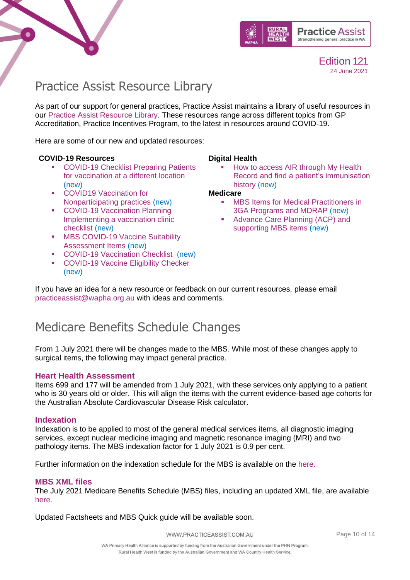



### <span id="page-9-0"></span>Practice Assist Resource Library

As part of our support for general practices, Practice Assist maintains a library of useful resources in our [Practice Assist Resource Library.](https://www.practiceassist.com.au/Resource-Library) These resources range across different topics from GP Accreditation, Practice Incentives Program, to the latest in resources around COVID-19.

Here are some of our new and updated resources:

#### **COVID-19 Resources**

- COVID-19 Checklist Preparing Patients [for vaccination at a different location](https://www.practiceassist.com.au/PracticeAssist/media/ResourceLibrary/210326-WA-COVID-19-Checklist-Preparing-patients-for-vaccination-at-a-different-location.pdf) (new)
- COVID19 Vaccination for [Nonparticipating practices](https://www.practiceassist.com.au/PracticeAssist/media/ResourceLibrary/COVID19-Vaccination-for-Non-participating-practices-210325.pdf) (new)
- COVID-19 Vaccination Planning [Implementing a vaccination clinic](https://www.practiceassist.com.au/PracticeAssist/media/Coronavirus-(COVID-19)/WA-COVID-19-Vaccination-Planning-Checklist-210323.pdf)  [checklist](https://www.practiceassist.com.au/PracticeAssist/media/Coronavirus-(COVID-19)/WA-COVID-19-Vaccination-Planning-Checklist-210323.pdf) (new)
- **MBS COVID-19 Vaccine Suitability** [Assessment Items](https://www.practiceassist.com.au/PracticeAssist/media/ResourceLibrary/MBS-COVID-19-Vaccine-suitability-Assessment-Service-Factsheet-210316.pdf) (new)
- [COVID-19 Vaccination Checklist](https://www.practiceassist.com.au/PracticeAssist/media/ResourceLibrary/WA-COVID-19-Vaccination-Checklist-210302.pdf) (new)
- [COVID-19 Vaccine Eligibility Checker](https://covid-vaccine.healthdirect.gov.au/eligibility) (new)

#### **Digital Health**

How to access AIR through My Health [Record and find a patient's immunisation](https://www.practiceassist.com.au/PracticeAssist/media/ResourceLibrary/Digital%20Health/Accessing-AIR-through-MHR-Fact-Sheet-V2-210413.pdf)  [history](https://www.practiceassist.com.au/PracticeAssist/media/ResourceLibrary/Digital%20Health/Accessing-AIR-through-MHR-Fact-Sheet-V2-210413.pdf) (new)

#### **Medicare**

- **MBS Items for Medical Practitioners in** [3GA Programs and MDRAP](https://www.practiceassist.com.au/PracticeAssist/media/ResourceLibrary/Medicare%20Benefits%20Schedule/MBS-Items-for-3GA-Programs-and-MDRAP-Fact-Sheet.pdf) (new)
- Advance Care Planning (ACP) and [supporting MBS items](https://www.practiceassist.com.au/PracticeAssist/media/ResourceLibrary/Medicare%20Benefits%20Schedule/Advance-Care-Planning-Fact-Sheet-V1-210514.pdf) (new)

If you have an idea for a new resource or feedback on our current resources, please email [practiceassist@wapha.org.au](mailto:practiceassist@wapha.org.au) with ideas and comments.

### <span id="page-9-1"></span>Medicare Benefits Schedule Changes

From 1 July 2021 there will be changes made to the MBS. While most of these changes apply to surgical items, the following may impact general practice.

#### **Heart Health Assessment**

Items 699 and 177 will be amended from 1 July 2021, with these services only applying to a patient who is 30 years old or older. This will align the items with the current evidence-based age cohorts for the Australian Absolute Cardiovascular Disease Risk calculator.

#### **Indexation**

Indexation is to be applied to most of the general medical services items, all diagnostic imaging services, except nuclear medicine imaging and magnetic resonance imaging (MRI) and two pathology items. The MBS indexation factor for 1 July 2021 is 0.9 per cent.

Further information on the indexation schedule for the MBS is available on the [here.](http://www.mbsonline.gov.au/internet/mbsonline/publishing.nsf/Content/Factsheet-MedicareIndexationSchedule)

#### **MBS XML files**

The July 2021 Medicare Benefits Schedule (MBS) files, including an updated XML file, are available [here.](http://www.mbsonline.gov.au/internet/mbsonline/publishing.nsf/Content/Downloads-210701)

Updated Factsheets and MBS Quick guide will be available soon.

WWW.PRACTICEASSIST.COM.AU

Page 10 of 14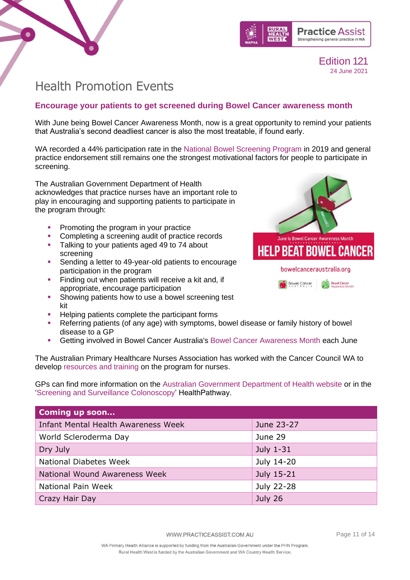



### <span id="page-10-0"></span>Health Promotion Events

### **Encourage your patients to get screened during Bowel Cancer awareness month**

With June being Bowel Cancer Awareness Month, now is a great opportunity to remind your patients that Australia's second deadliest cancer is also the most treatable, if found early.

WA recorded a 44% participation rate in the [National Bowel Screening Program](https://www.health.gov.au/initiatives-and-programs/national-bowel-cancer-screening-program) in 2019 and general practice endorsement still remains one the strongest motivational factors for people to participate in screening.

The Australian Government Department of Health acknowledges that practice nurses have an important role to play in encouraging and supporting patients to participate in the program through:

- Promoting the program in your practice
- Completing a screening audit of practice records
- **Talking to your patients aged 49 to 74 about** screening
- Sending a letter to 49-year-old patients to encourage participation in the program
- **Example 1** Finding out when patients will receive a kit and, if appropriate, encourage participation
- **Showing patients how to use a bowel screening test** kit
- Helping patients complete the participant forms
- Referring patients (of any age) with symptoms, bowel disease or family history of bowel disease to a GP
- **Getting involved in Bowel Cancer Australia's [Bowel Cancer Awareness Month](https://www.bowelcanceraustralia.org/bowel-cancer-awareness-month) each June**

The Australian Primary Healthcare Nurses Association has worked with the Cancer Council WA to develop [resources and training](https://www.apna.asn.au/education/bowel-cancer) on the program for nurses.

GPs can find more information on the [Australian Government Department of Health website](https://www.health.gov.au/initiatives-and-programs/national-bowel-cancer-screening-program/managing-bowel-screening-for-participants/the-role-of-health-professionals-and-providers-in-the-national-bowel-cancer-screening-program) or in the 'Screening [and Surveillance Colonoscopy'](https://wa.communityhealthpathways.org/17273_1.htm) HealthPathway.

| <b>Coming up soon</b>                      |            |
|--------------------------------------------|------------|
| <b>Infant Mental Health Awareness Week</b> | June 23-27 |
| World Scleroderma Day                      | June 29    |
| Dry July                                   | July 1-31  |
| <b>National Diabetes Week</b>              | July 14-20 |
| National Wound Awareness Week              | July 15-21 |
| National Pain Week                         | July 22-28 |
| Crazy Hair Day                             | July 26    |

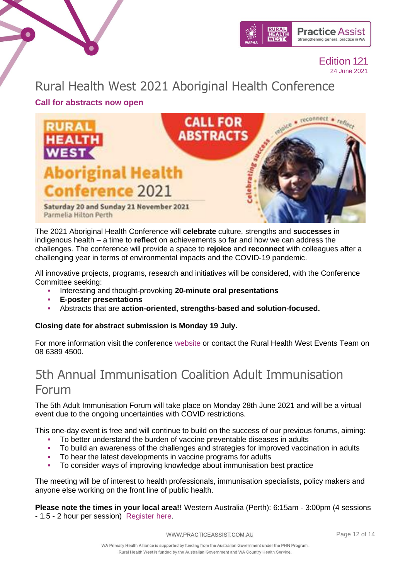

Rural Health West 2021 Aboriginal Health Conference

**Call for abstracts now open** 

 $\bullet$ 



The 2021 Aboriginal Health Conference will **celebrate** culture, strengths and **successes** in indigenous health – a time to **reflect** on achievements so far and how we can address the challenges. The conference will provide a space to **rejoice** and **reconnect** with colleagues after a challenging year in terms of environmental impacts and the COVID-19 pandemic.

All innovative projects, programs, research and initiatives will be considered, with the Conference Committee seeking:

- Interesting and thought-provoking **20-minute oral presentations**
- **E-poster presentations**
- Abstracts that are **action-oriented, strengths-based and solution-focused.**

**Closing date for abstract submission is Monday 19 July.**

For more information visit the conference [website](https://linkprotect.cudasvc.com/url?a=https%3a%2f%2fruralhealthwest.eventsair.com%2f2021-ahc%2fabstracts&c=E,1,j2wkag76BOVV43-a5dlFDiilDcppn1Jr84tzMD5gHcUlMMtdPYYGBIgDKW50yXCkLFq2eAmHsLFr1-at05u2OIDkIfoOOHS-v05dTon1ounb7GN7_hc,&typo=1) or contact the Rural Health West Events Team on 08 6389 4500.

### 5th Annual Immunisation Coalition Adult Immunisation Forum

The 5th Adult Immunisation Forum will take place on Monday 28th June 2021 and will be a virtual event due to the ongoing uncertainties with COVID restrictions.

This one-day event is free and will continue to build on the success of our previous forums, aiming:

- To better understand the burden of vaccine preventable diseases in adults
- To build an awareness of the challenges and strategies for improved vaccination in adults
- To hear the latest developments in vaccine programs for adults
- To consider ways of improving knowledge about immunisation best practice

The meeting will be of interest to health professionals, immunisation specialists, policy makers and anyone else working on the front line of public health.

**Please note the times in your local area!!** Western Australia (Perth): 6:15am - 3:00pm (4 sessions - 1.5 - 2 hour per session) [Register here.](https://us02web.zoom.us/webinar/register/8716207146762/WN_0QU3PsqIRN-rZ2wJM4GFBw)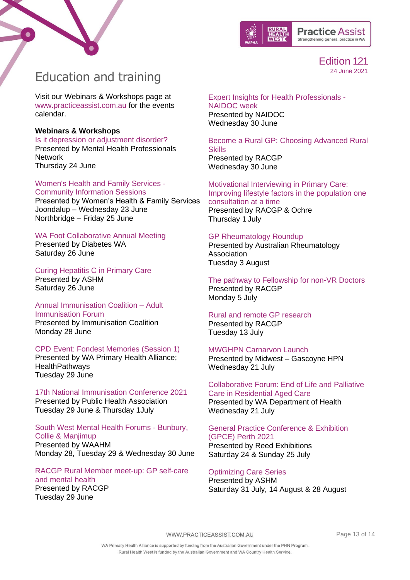



### <span id="page-12-0"></span>Education and training

Visit our Webinars & Workshops page at [www.practiceassist.com.au](http://www.practiceassist.com.au/) for the events calendar.

#### **Webinars & Workshops**

[Is it depression or adjustment disorder?](https://www.mhpn.org.au/members#/Meeting/21594) Presented by Mental Health Professionals **Network** Thursday 24 June

#### [Women's Health and Family Services -](https://whfs.org.au/2021/05/28/community-info-sessions/)

[Community Information Sessions](https://whfs.org.au/2021/05/28/community-info-sessions/) Presented by Women's Health & Family Services Joondalup – Wednesday 23 June Northbridge – Friday 25 June

### [WA Foot Collaborative Annual Meeting](https://www.diabeteswa.com.au/professionals/training/training-for-health-professionals/wafcam/)

Presented by Diabetes WA Saturday 26 June

### [Curing Hepatitis C in Primary Care](https://ashm.org.au/eventinforeg2/?id=6b2552a9-44a2-eb11-b1ac-002248150301)

Presented by ASHM Saturday 26 June

#### [Annual Immunisation Coalition](https://us02web.zoom.us/webinar/register/8716207146762/WN_0QU3PsqIRN-rZ2wJM4GFBw) – Adult [Immunisation Forum](https://us02web.zoom.us/webinar/register/8716207146762/WN_0QU3PsqIRN-rZ2wJM4GFBw)

Presented by Immunisation Coalition Monday 28 June

### [CPD Event: Fondest Memories \(Session 1\)](https://waproject.healthpathways.org.au/Events.aspx)

Presented by WA Primary Health Alliance; **HealthPathways** Tuesday 29 June

[17th National Immunisation Conference 2021](https://www.nic2021.com/) Presented by Public Health Association Tuesday 29 June & Thursday 1July

#### South West [Mental Health Forums -](https://waamh.org.au/events-and-training/event?eventtemplate=87-regional-mental-health-community-support-project-forums#1-months=Jun) Bunbury, [Collie & Manjimup](https://waamh.org.au/events-and-training/event?eventtemplate=87-regional-mental-health-community-support-project-forums#1-months=Jun) Presented by WAAHM Monday 28, Tuesday 29 & Wednesday 30 June

[RACGP Rural Member meet-up: GP self-care](https://www.racgp.org.au/racgp-digital-events-calendar/online-event-items/webinars/racgp-rural-member-meet-up-gp-self-care-and-mental)  [and mental health](https://www.racgp.org.au/racgp-digital-events-calendar/online-event-items/webinars/racgp-rural-member-meet-up-gp-self-care-and-mental) Presented by RACGP Tuesday 29 June

#### [Expert Insights for Health Professionals -](https://blackdoginstitute.secure.force.com/forms/bdi_EducationMasterCourseIndividual?mstrCrsId=a1K1H00000AnzsZUAR&utm_medium=email&utm_campaign=Expert%20Insights%20May&utm_content=Expert%20Insights%20May+CID_92088eb9214983e85502a262046a08a1&utm_source=Email) [NAIDOC week](https://blackdoginstitute.secure.force.com/forms/bdi_EducationMasterCourseIndividual?mstrCrsId=a1K1H00000AnzsZUAR&utm_medium=email&utm_campaign=Expert%20Insights%20May&utm_content=Expert%20Insights%20May+CID_92088eb9214983e85502a262046a08a1&utm_source=Email)

Presented by NAIDOC Wednesday 30 June

[Become a Rural GP: Choosing Advanced Rural](https://www.racgp.org.au/racgp-digital-events-calendar/online-event-items/webinars/become-a-rural-gp-webinar-series-choosing-advanced)  **[Skills](https://www.racgp.org.au/racgp-digital-events-calendar/online-event-items/webinars/become-a-rural-gp-webinar-series-choosing-advanced)** Presented by RACGP Wednesday 30 June

#### [Motivational Interviewing in Primary Care:](https://www.racgp.org.au/racgp-digital-events-calendar/online-event-items/webinars/rural-health-webinar-series-motivational-interview)  [Improving lifestyle factors in the population one](https://www.racgp.org.au/racgp-digital-events-calendar/online-event-items/webinars/rural-health-webinar-series-motivational-interview)  [consultation at a time](https://www.racgp.org.au/racgp-digital-events-calendar/online-event-items/webinars/rural-health-webinar-series-motivational-interview) Presented by RACGP & Ochre

Thursday 1 July

### [GP Rheumatology Roundup](https://www.practiceassist.com.au/PracticeAssist/media/Practice-Connect/GP-Webinar-clickable-EDM.pdf)

Presented by Australian Rheumatology **Association** Tuesday 3 August

#### [The pathway to Fellowship for non-VR Doctors](https://www.racgp.org.au/racgp-digital-events-calendar/online-event-items/webinars/the-pathway-to-fellowship-for-non-vr-doctors-1) Presented by RACGP Monday 5 July

### [Rural and remote GP research](https://www.racgp.org.au/racgp-digital-events-calendar/online-event-items/rural-and-remote-gp-research)

Presented by RACGP Tuesday 13 July

#### [MWGHPN Carnarvon Launch](https://ruralhealthwest.eventsair.com/mwghpn-carnarvon-launch/register/Site/Register)

Presented by Midwest – Gascoyne HPN Wednesday 21 July

#### [Collaborative Forum: End of Life and Palliative](https://www.eventbrite.com.au/e/collaborative-forum-end-of-life-palliative-care-in-residential-aged-care-tickets-159372339959)  [Care in Residential Aged Care](https://www.eventbrite.com.au/e/collaborative-forum-end-of-life-palliative-care-in-residential-aged-care-tickets-159372339959) [Presented by WA Department of Health](https://www.eventbrite.com.au/e/collaborative-forum-end-of-life-palliative-care-in-residential-aged-care-tickets-159372339959) [Wednesday 21 July](https://www.eventbrite.com.au/e/collaborative-forum-end-of-life-palliative-care-in-residential-aged-care-tickets-159372339959)

### [General Practice Conference & Exhibition](https://www.emedevents.com/c/medical-conferences-2021/general-practice-conference-exhibition-gpce-perth-2021)  [\(GPCE\) Perth 2021](https://www.emedevents.com/c/medical-conferences-2021/general-practice-conference-exhibition-gpce-perth-2021) Presented by Reed Exhibitions

Saturday 24 & Sunday 25 July

### [Optimizing Care Series](https://ashm.eventsair.com/optimising-care-series-2021/registration-site/Site/Register)

Presented by ASHM Saturday 31 July, 14 August & 28 August

WWW.PRACTICEASSIST.COM.AU

Page 13 of 14